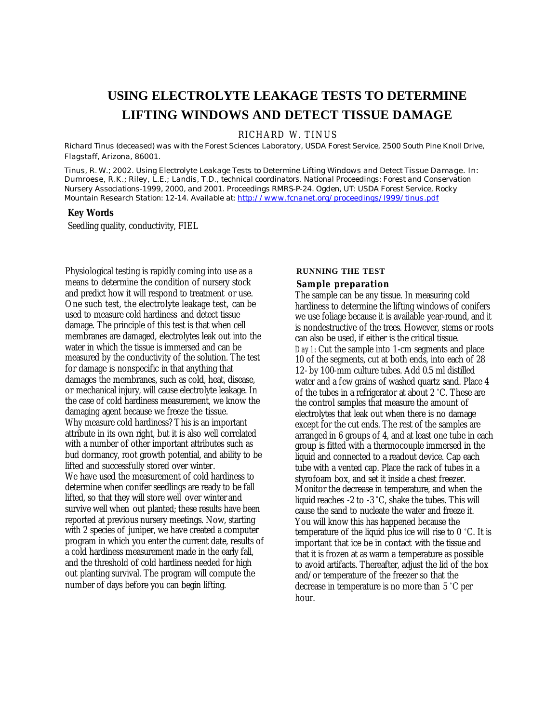# **USING ELECTROLYTE LEAKAGE TESTS TO DETERMINE LIFTING WINDOWS AND DETECT TISSUE DAMAGE**

RICHARD W. TINUS

*Richard Tinus (deceased) was with the Forest Sciences Laboratory, USDA Forest Service, 2500 South Pine Knoll Drive, Flagstaff, Arizona, 86001.*

*Tinus, R. W.; 2002. Using Electrolyte Leakage Tests to Determine Lifting Windows and Detect Tissue Damage. In: Dumroese, R.K.; Riley, L.E.; Landis, T.D., technical coordinators. National Proceedings: Forest and Conservation Nursery Associations-1999, 2000, and 2001. Proceedings RMRS-P-24. Ogden, UT: USDA Forest Service, Rocky Mountain Research Station: 12-14. Available at: http://www.fcnanet.org/proceedings/l999/tinus.pdf*

### **Key Words**

Seedling quality, conductivity, FIEL

Physiological testing is rapidly coming into use as a means to determine the condition of nursery stock and predict how it will respond to treatment or use. One such test, the electrolyte leakage test, can be used to measure cold hardiness and detect tissue damage. The principle of this test is that when cell membranes are damaged, electrolytes leak out into the water in which the tissue is immersed and can be measured by the conductivity of the solution. The test for damage is nonspecific in that anything that damages the membranes, such as cold, heat, disease, or mechanical injury, will cause electrolyte leakage. In the case of cold hardiness measurement, we know the damaging agent because we freeze the tissue. Why measure cold hardiness? This is an important attribute in its own right, but it is also well correlated with a number of other important attributes such as bud dormancy, root growth potential, and ability to be lifted and successfully stored over winter. We have used the measurement of cold hardiness to determine when conifer seedlings are ready to be fall lifted, so that they will store well over winter and survive well when out planted; these results have been reported at previous nursery meetings. Now, starting with 2 species of juniper, we have created a computer program in which you enter the current date, results of a cold hardiness measurement made in the early fall, and the threshold of cold hardiness needed for high out planting survival. The program will compute the number of days before you can begin lifting.

## **RUNNING THE TEST**

#### **Sample preparation**

The sample can be any tissue. In measuring cold hardiness to determine the lifting windows of conifers we use foliage because it is available year-round, and it is nondestructive of the trees. However, stems or roots can also be used, if either is the critical tissue. *Day 1:* Cut the sample into 1-cm segments and place 10 of the segments, cut at both ends, into each of 28 12- by 100-mm culture tubes. Add 0.5 ml distilled water and a few grains of washed quartz sand. Place 4 of the tubes in a refrigerator at about 2 °C. These are the control samples that measure the amount of electrolytes that leak out when there is no damage except for the cut ends. The rest of the samples are arranged in 6 groups of 4, and at least one tube in each group is fitted with a thermocouple immersed in the liquid and connected to a readout device. Cap each tube with a vented cap. Place the rack of tubes in a styrofoam box, and set it inside a chest freezer. Monitor the decrease in temperature, and when the liquid reaches -2 to -3 °C, shake the tubes. This will cause the sand to nucleate the water and freeze it. You will know this has happened because the temperature of the liquid plus ice will rise to 0 °C. It is important that ice be in contact with the tissue and that it is frozen at as warm a temperature as possible to avoid artifacts. Thereafter, adjust the lid of the box and/or temperature of the freezer so that the decrease in temperature is no more than 5 °C per hour.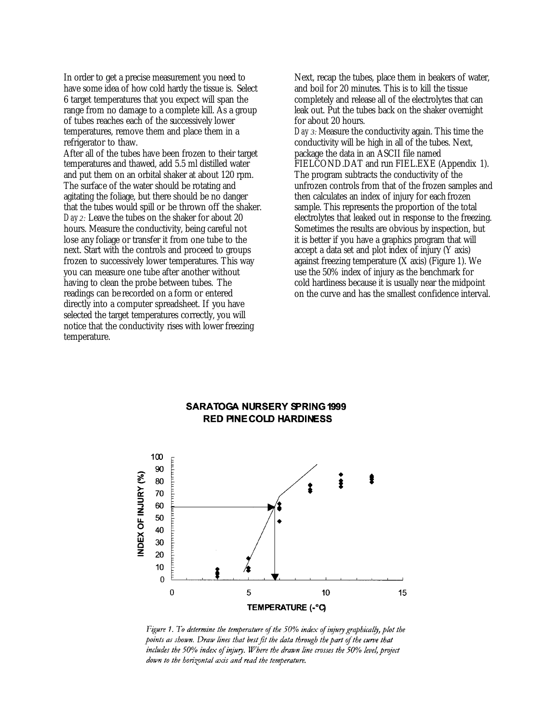In order to get a precise measurement you need to have some idea of how cold hardy the tissue is. Select 6 target temperatures that you expect will span the range from no damage to a complete kill. As a group of tubes reaches each of the successively lower temperatures, remove them and place them in a refrigerator to thaw.

After all of the tubes have been frozen to their target temperatures and thawed, add 5.5 ml distilled water and put them on an orbital shaker at about 120 rpm. The surface of the water should be rotating and agitating the foliage, but there should be no danger that the tubes would spill or be thrown off the shaker. *Day 2:* Leave the tubes on the shaker for about 20 hours. Measure the conductivity, being careful not lose any foliage or transfer it from one tube to the next. Start with the controls and proceed to groups frozen to successively lower temperatures. This way you can measure one tube after another without having to clean the probe between tubes. The readings can be recorded on a form or entered directly into a computer spreadsheet. If you have selected the target temperatures correctly, you will notice that the conductivity rises with lower freezing temperature.

Next, recap the tubes, place them in beakers of water, and boil for 20 minutes. This is to kill the tissue completely and release all of the electrolytes that can leak out. Put the tubes back on the shaker overnight for about 20 hours.

*Day 3:* Measure the conductivity again. This time the conductivity will be high in all of the tubes. Next, package the data in an ASCII file named FIELCOND.DAT and run FIEL.EXE (Appendix 1). The program subtracts the conductivity of the unfrozen controls from that of the frozen samples and then calculates an index of injury for each frozen sample. This represents the proportion of the total electrolytes that leaked out in response to the freezing. Sometimes the results are obvious by inspection, but it is better if you have a graphics program that will accept a data set and plot index of injury (Y axis) against freezing temperature (X axis) (Figure 1). We use the 50% index of injury as the benchmark for cold hardiness because it is usually near the midpoint on the curve and has the smallest confidence interval.

## **SARATOGA NURSERY SPRING 1999 RED PINE COLD HARDINESS**



Figure 1. To determine the temperature of the  $50\%$  index of injury graphically, plot the points as shown. Draw lines that best fit the data through the part of the curve that includes the 50% index of injury. Where the drawn line crosses the 50% level, project down to the horizontal axis and read the temperature.